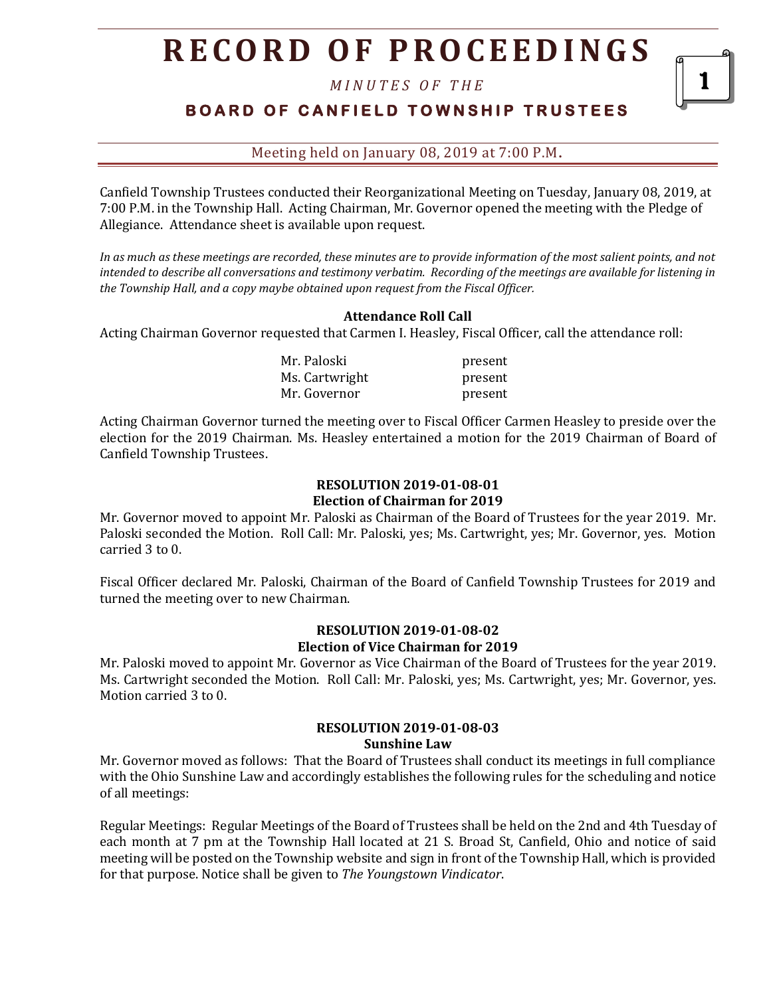*M I N U T E S O F T H E* 

**BOARD OF CANFIELD TOWNSHIP TRUSTEES** 

1

Meeting held on January 08, 2019 at 7:00 P.M**.**

Canfield Township Trustees conducted their Reorganizational Meeting on Tuesday, January 08, 2019, at 7:00 P.M. in the Township Hall. Acting Chairman, Mr. Governor opened the meeting with the Pledge of Allegiance. Attendance sheet is available upon request.

*In as much as these meetings are recorded, these minutes are to provide information of the most salient points, and not intended to describe all conversations and testimony verbatim. Recording of the meetings are available for listening in the Township Hall, and a copy maybe obtained upon request from the Fiscal Officer.* 

## **Attendance Roll Call**

Acting Chairman Governor requested that Carmen I. Heasley, Fiscal Officer, call the attendance roll:

Mr. Paloski present Ms. Cartwright present Mr. Governor **present** 

Acting Chairman Governor turned the meeting over to Fiscal Officer Carmen Heasley to preside over the election for the 2019 Chairman. Ms. Heasley entertained a motion for the 2019 Chairman of Board of Canfield Township Trustees.

# **RESOLUTION 2019-01-08-01 Election of Chairman for 2019**

Mr. Governor moved to appoint Mr. Paloski as Chairman of the Board of Trustees for the year 2019. Mr. Paloski seconded the Motion. Roll Call: Mr. Paloski, yes; Ms. Cartwright, yes; Mr. Governor, yes. Motion carried 3 to 0.

Fiscal Officer declared Mr. Paloski, Chairman of the Board of Canfield Township Trustees for 2019 and turned the meeting over to new Chairman.

## **RESOLUTION 2019-01-08-02 Election of Vice Chairman for 2019**

Mr. Paloski moved to appoint Mr. Governor as Vice Chairman of the Board of Trustees for the year 2019. Ms. Cartwright seconded the Motion. Roll Call: Mr. Paloski, yes; Ms. Cartwright, yes; Mr. Governor, yes. Motion carried 3 to 0.

#### **RESOLUTION 2019-01-08-03 Sunshine Law**

Mr. Governor moved as follows: That the Board of Trustees shall conduct its meetings in full compliance with the Ohio Sunshine Law and accordingly establishes the following rules for the scheduling and notice of all meetings:

Regular Meetings: Regular Meetings of the Board of Trustees shall be held on the 2nd and 4th Tuesday of each month at 7 pm at the Township Hall located at 21 S. Broad St, Canfield, Ohio and notice of said meeting will be posted on the Township website and sign in front of the Township Hall, which is provided for that purpose. Notice shall be given to *The Youngstown Vindicator*.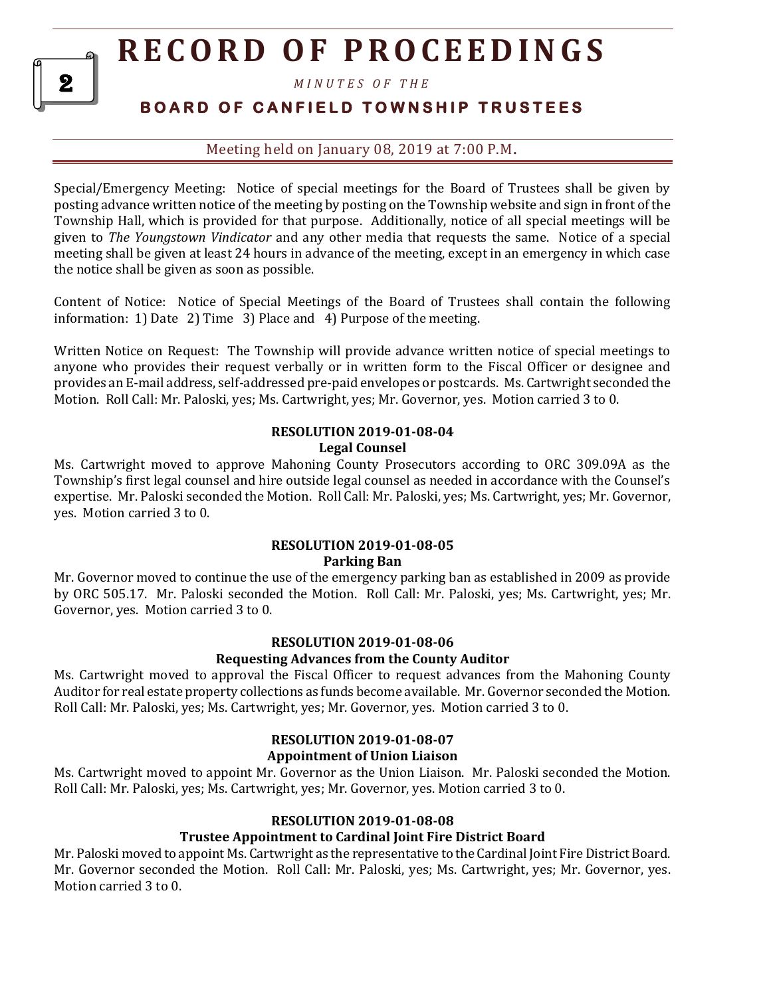*M I N U T E S O F T H E* 

# **B O A R D O F C A N F I E L D T O W N S H I P T R U S T E E S**

Meeting held on January 08, 2019 at 7:00 P.M**.**

Special/Emergency Meeting: Notice of special meetings for the Board of Trustees shall be given by posting advance written notice of the meeting by posting on the Township website and sign in front of the Township Hall, which is provided for that purpose. Additionally, notice of all special meetings will be given to *The Youngstown Vindicator* and any other media that requests the same. Notice of a special meeting shall be given at least 24 hours in advance of the meeting, except in an emergency in which case the notice shall be given as soon as possible.

Content of Notice: Notice of Special Meetings of the Board of Trustees shall contain the following information: 1) Date 2) Time 3) Place and 4) Purpose of the meeting.

Written Notice on Request: The Township will provide advance written notice of special meetings to anyone who provides their request verbally or in written form to the Fiscal Officer or designee and provides an E-mail address, self-addressed pre-paid envelopes or postcards. Ms. Cartwright seconded the Motion. Roll Call: Mr. Paloski, yes; Ms. Cartwright, yes; Mr. Governor, yes. Motion carried 3 to 0.

#### **RESOLUTION 2019-01-08-04 Legal Counsel**

Ms. Cartwright moved to approve Mahoning County Prosecutors according to ORC 309.09A as the Township's first legal counsel and hire outside legal counsel as needed in accordance with the Counsel's expertise. Mr. Paloski seconded the Motion. Roll Call: Mr. Paloski, yes; Ms. Cartwright, yes; Mr. Governor, yes. Motion carried 3 to 0.

#### **RESOLUTION 2019-01-08-05 Parking Ban**

Mr. Governor moved to continue the use of the emergency parking ban as established in 2009 as provide by ORC 505.17. Mr. Paloski seconded the Motion. Roll Call: Mr. Paloski, yes; Ms. Cartwright, yes; Mr. Governor, yes. Motion carried 3 to 0.

#### **RESOLUTION 2019-01-08-06 Requesting Advances from the County Auditor**

Ms. Cartwright moved to approval the Fiscal Officer to request advances from the Mahoning County Auditor for real estate property collections as funds become available. Mr. Governor seconded the Motion. Roll Call: Mr. Paloski, yes; Ms. Cartwright, yes; Mr. Governor, yes. Motion carried 3 to 0.

# **RESOLUTION 2019-01-08-07 Appointment of Union Liaison**

Ms. Cartwright moved to appoint Mr. Governor as the Union Liaison. Mr. Paloski seconded the Motion. Roll Call: Mr. Paloski, yes; Ms. Cartwright, yes; Mr. Governor, yes. Motion carried 3 to 0.

# **RESOLUTION 2019-01-08-08**

# **Trustee Appointment to Cardinal Joint Fire District Board**

Mr. Paloski moved to appoint Ms. Cartwright as the representative to the Cardinal Joint Fire District Board. Mr. Governor seconded the Motion. Roll Call: Mr. Paloski, yes; Ms. Cartwright, yes; Mr. Governor, yes. Motion carried 3 to 0.

2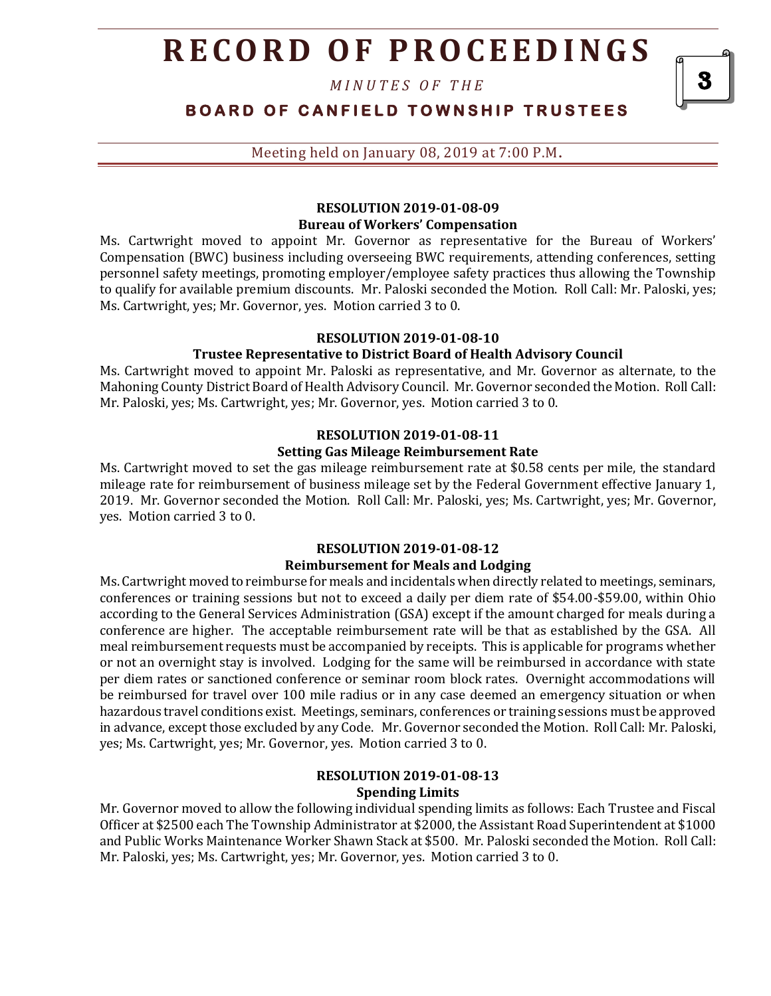*M I N U T E S O F T H E* 

**BOARD OF CANFIELD TOWNSHIP TRUSTEES** 

3

Meeting held on January 08, 2019 at 7:00 P.M**.**

#### **RESOLUTION 2019-01-08-09 Bureau of Workers' Compensation**

Ms. Cartwright moved to appoint Mr. Governor as representative for the Bureau of Workers' Compensation (BWC) business including overseeing BWC requirements, attending conferences, setting personnel safety meetings, promoting employer/employee safety practices thus allowing the Township to qualify for available premium discounts. Mr. Paloski seconded the Motion. Roll Call: Mr. Paloski, yes; Ms. Cartwright, yes; Mr. Governor, yes. Motion carried 3 to 0.

#### **RESOLUTION 2019-01-08-10**

## **Trustee Representative to District Board of Health Advisory Council**

Ms. Cartwright moved to appoint Mr. Paloski as representative, and Mr. Governor as alternate, to the Mahoning County District Board of Health Advisory Council. Mr. Governor seconded the Motion. Roll Call: Mr. Paloski, yes; Ms. Cartwright, yes; Mr. Governor, yes. Motion carried 3 to 0.

#### **RESOLUTION 2019-01-08-11 Setting Gas Mileage Reimbursement Rate**

Ms. Cartwright moved to set the gas mileage reimbursement rate at \$0.58 cents per mile, the standard mileage rate for reimbursement of business mileage set by the Federal Government effective January 1, 2019. Mr. Governor seconded the Motion. Roll Call: Mr. Paloski, yes; Ms. Cartwright, yes; Mr. Governor, yes. Motion carried 3 to 0.

## **RESOLUTION 2019-01-08-12 Reimbursement for Meals and Lodging**

Ms. Cartwright moved to reimburse for meals and incidentals when directly related to meetings, seminars, conferences or training sessions but not to exceed a daily per diem rate of \$54.00-\$59.00, within Ohio according to the General Services Administration (GSA) except if the amount charged for meals during a conference are higher. The acceptable reimbursement rate will be that as established by the GSA. All meal reimbursement requests must be accompanied by receipts. This is applicable for programs whether or not an overnight stay is involved. Lodging for the same will be reimbursed in accordance with state per diem rates or sanctioned conference or seminar room block rates. Overnight accommodations will be reimbursed for travel over 100 mile radius or in any case deemed an emergency situation or when hazardous travel conditions exist. Meetings, seminars, conferences or training sessions must be approved in advance, except those excluded by any Code. Mr. Governor seconded the Motion. Roll Call: Mr. Paloski, yes; Ms. Cartwright, yes; Mr. Governor, yes. Motion carried 3 to 0.

### **RESOLUTION 2019-01-08-13 Spending Limits**

Mr. Governor moved to allow the following individual spending limits as follows: Each Trustee and Fiscal Officer at \$2500 each The Township Administrator at \$2000, the Assistant Road Superintendent at \$1000 and Public Works Maintenance Worker Shawn Stack at \$500. Mr. Paloski seconded the Motion. Roll Call: Mr. Paloski, yes; Ms. Cartwright, yes; Mr. Governor, yes. Motion carried 3 to 0.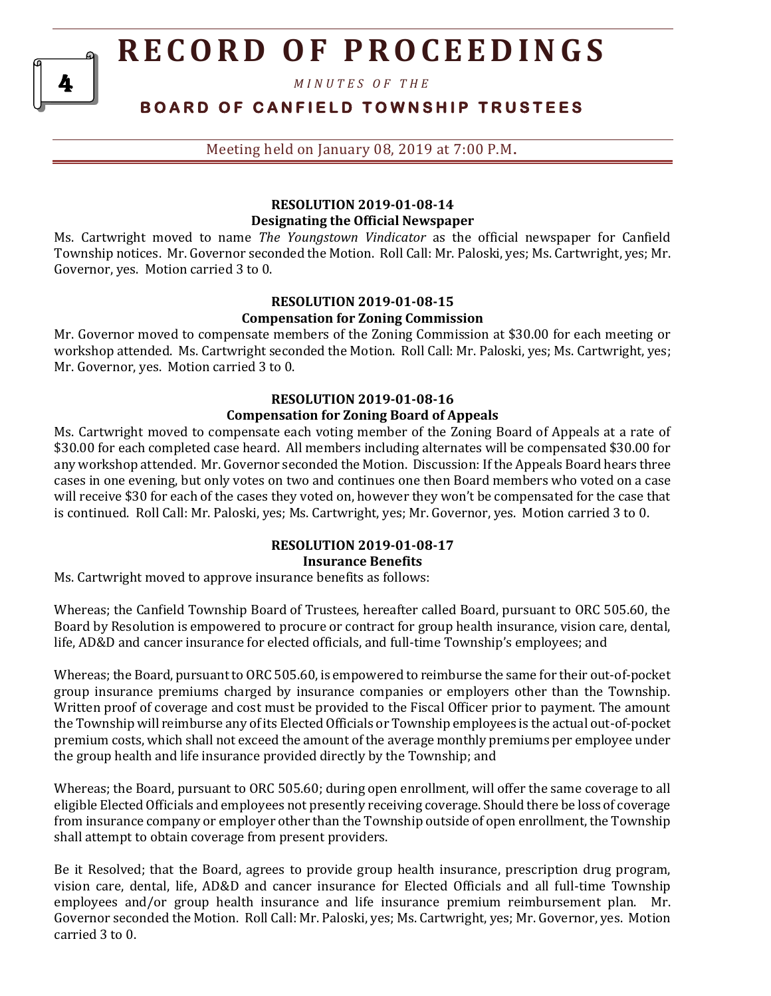*M I N U T E S O F T H E* 

# **B O A R D O F C A N F I E L D T O W N S H I P T R U S T E E S**

Meeting held on January 08, 2019 at 7:00 P.M**.**

# **RESOLUTION 2019-01-08-14 Designating the Official Newspaper**

Ms. Cartwright moved to name *The Youngstown Vindicator* as the official newspaper for Canfield Township notices. Mr. Governor seconded the Motion. Roll Call: Mr. Paloski, yes; Ms. Cartwright, yes; Mr. Governor, yes. Motion carried 3 to 0.

# **RESOLUTION 2019-01-08-15 Compensation for Zoning Commission**

Mr. Governor moved to compensate members of the Zoning Commission at \$30.00 for each meeting or workshop attended. Ms. Cartwright seconded the Motion. Roll Call: Mr. Paloski, yes; Ms. Cartwright, yes; Mr. Governor, yes. Motion carried 3 to 0.

# **RESOLUTION 2019-01-08-16**

## **Compensation for Zoning Board of Appeals**

Ms. Cartwright moved to compensate each voting member of the Zoning Board of Appeals at a rate of \$30.00 for each completed case heard. All members including alternates will be compensated \$30.00 for any workshop attended. Mr. Governor seconded the Motion. Discussion: If the Appeals Board hears three cases in one evening, but only votes on two and continues one then Board members who voted on a case will receive \$30 for each of the cases they voted on, however they won't be compensated for the case that is continued. Roll Call: Mr. Paloski, yes; Ms. Cartwright, yes; Mr. Governor, yes. Motion carried 3 to 0.

## **RESOLUTION 2019-01-08-17 Insurance Benefits**

Ms. Cartwright moved to approve insurance benefits as follows:

Whereas; the Canfield Township Board of Trustees, hereafter called Board, pursuant to ORC 505.60, the Board by Resolution is empowered to procure or contract for group health insurance, vision care, dental, life, AD&D and cancer insurance for elected officials, and full-time Township's employees; and

Whereas; the Board, pursuant to ORC 505.60, is empowered to reimburse the same for their out-of-pocket group insurance premiums charged by insurance companies or employers other than the Township. Written proof of coverage and cost must be provided to the Fiscal Officer prior to payment. The amount the Township will reimburse any of its Elected Officials or Township employees is the actual out-of-pocket premium costs, which shall not exceed the amount of the average monthly premiums per employee under the group health and life insurance provided directly by the Township; and

Whereas; the Board, pursuant to ORC 505.60; during open enrollment, will offer the same coverage to all eligible Elected Officials and employees not presently receiving coverage. Should there be loss of coverage from insurance company or employer other than the Township outside of open enrollment, the Township shall attempt to obtain coverage from present providers.

Be it Resolved; that the Board, agrees to provide group health insurance, prescription drug program, vision care, dental, life, AD&D and cancer insurance for Elected Officials and all full-time Township employees and/or group health insurance and life insurance premium reimbursement plan. Mr. Governor seconded the Motion. Roll Call: Mr. Paloski, yes; Ms. Cartwright, yes; Mr. Governor, yes. Motion carried 3 to 0.

4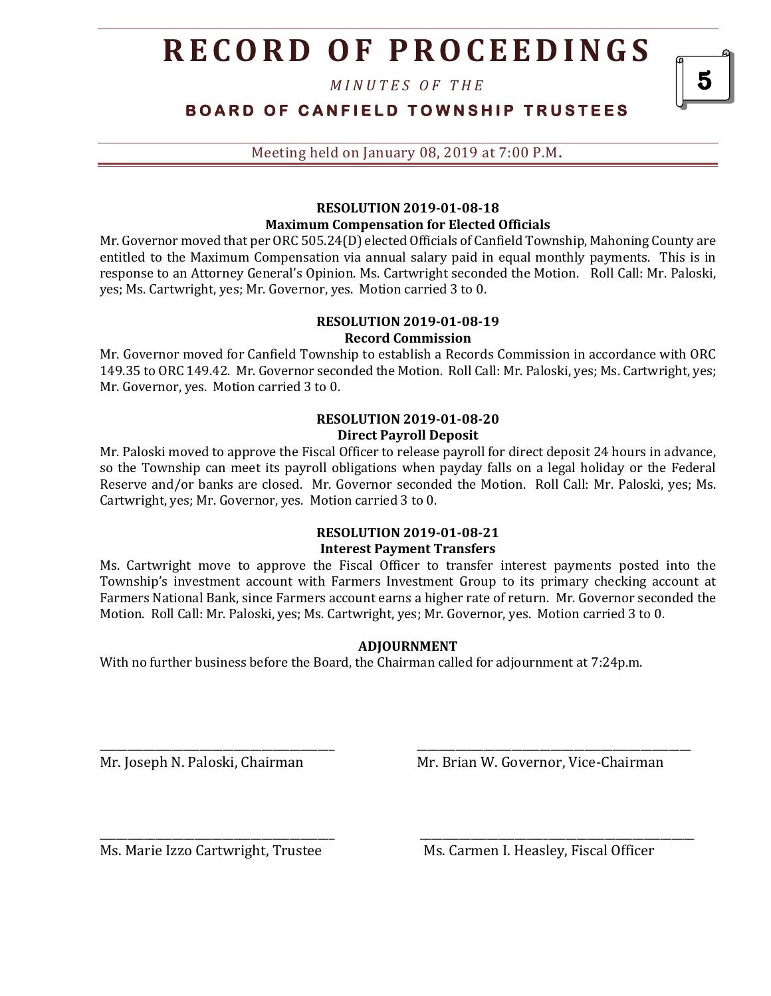*M I N U T E S O F T H E* 

| BOARD OF CANFIELD TOWNSHIP TRUSTEES |
|-------------------------------------|
|-------------------------------------|

Meeting held on January 08, 2019 at 7:00 P.M**.**

## **RESOLUTION 2019-01-08-18 Maximum Compensation for Elected Officials**

Mr. Governor moved that per ORC 505.24(D) elected Officials of Canfield Township, Mahoning County are entitled to the Maximum Compensation via annual salary paid in equal monthly payments. This is in response to an Attorney General's Opinion. Ms. Cartwright seconded the Motion. Roll Call: Mr. Paloski, yes; Ms. Cartwright, yes; Mr. Governor, yes. Motion carried 3 to 0.

#### **RESOLUTION 2019-01-08-19 Record Commission**

Mr. Governor moved for Canfield Township to establish a Records Commission in accordance with ORC 149.35 to ORC 149.42. Mr. Governor seconded the Motion. Roll Call: Mr. Paloski, yes; Ms. Cartwright, yes; Mr. Governor, yes. Motion carried 3 to 0.

### **RESOLUTION 2019-01-08-20 Direct Payroll Deposit**

Mr. Paloski moved to approve the Fiscal Officer to release payroll for direct deposit 24 hours in advance, so the Township can meet its payroll obligations when payday falls on a legal holiday or the Federal Reserve and/or banks are closed. Mr. Governor seconded the Motion. Roll Call: Mr. Paloski, yes; Ms. Cartwright, yes; Mr. Governor, yes. Motion carried 3 to 0.

# **RESOLUTION 2019-01-08-21**

#### **Interest Payment Transfers**

Ms. Cartwright move to approve the Fiscal Officer to transfer interest payments posted into the Township's investment account with Farmers Investment Group to its primary checking account at Farmers National Bank, since Farmers account earns a higher rate of return. Mr. Governor seconded the Motion. Roll Call: Mr. Paloski, yes; Ms. Cartwright, yes; Mr. Governor, yes. Motion carried 3 to 0.

# **ADJOURNMENT**

\_\_\_\_\_\_\_\_\_\_\_\_\_\_\_\_\_\_\_\_\_\_\_\_\_\_\_\_\_\_\_\_\_\_\_\_\_\_\_\_\_\_ \_\_\_\_\_\_\_\_\_\_\_\_\_\_\_\_\_\_\_\_\_\_\_\_\_\_\_\_\_\_\_\_\_\_\_\_\_\_\_\_\_\_\_\_\_\_\_\_\_

\_\_\_\_\_\_\_\_\_\_\_\_\_\_\_\_\_\_\_\_\_\_\_\_\_\_\_\_\_\_\_\_\_\_\_\_\_\_\_\_\_\_ \_\_\_\_\_\_\_\_\_\_\_\_\_\_\_\_\_\_\_\_\_\_\_\_\_\_\_\_\_\_\_\_\_\_\_\_\_\_\_\_\_\_\_\_\_\_\_\_\_

With no further business before the Board, the Chairman called for adjournment at 7:24p.m.

Mr. Joseph N. Paloski, Chairman Mr. Brian W. Governor, Vice-Chairman

Ms. Marie Izzo Cartwright, Trustee Ms. Carmen I. Heasley, Fiscal Officer

5